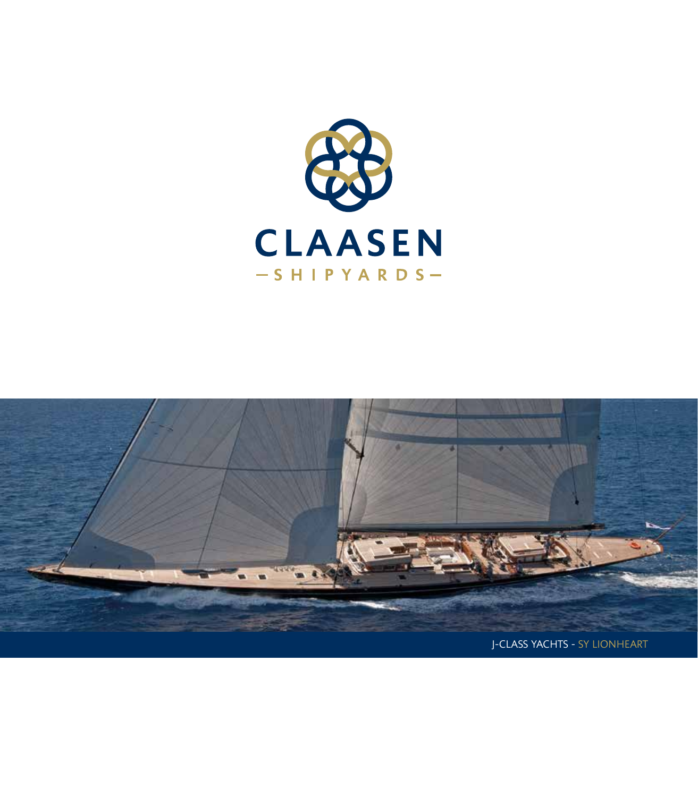

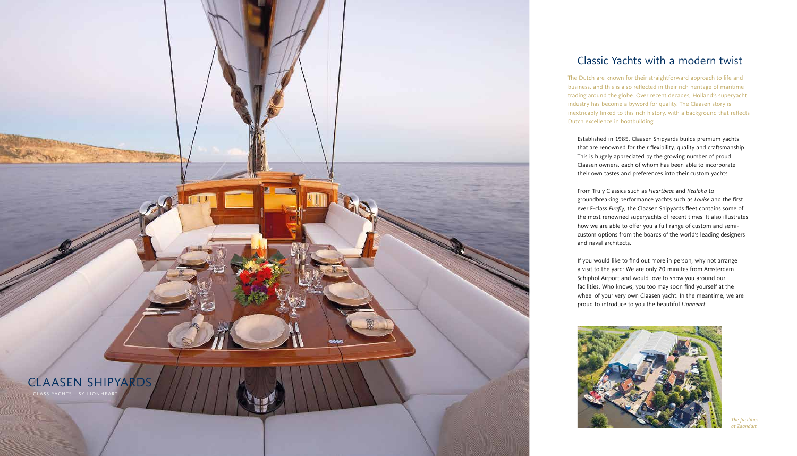

Established in 1985, Claasen Shipyards builds premium yachts that are renowned for their flexibility, quality and craftsmanship. This is hugely appreciated by the growing number of proud Claasen owners, each of whom has been able to incorporate their own tastes and preferences into their custom yachts.

From Truly Classics such as *Heartbeat* and *Kealoha* to groundbreaking performance yachts such as *Louise* and the first ever F-class *Firefly,* the Claasen Shipyards fleet contains some of the most renowned superyachts of recent times. It also illustrates how we are able to offer you a full range of custom and semicustom options from the boards of the world's leading designers and naval architects.

If you would like to find out more in person, why not arrange a visit to the yard: We are only 20 minutes from Amsterdam Schiphol Airport and would love to show you around our facilities. Who knows, you too may soon find yourself at the wheel of your very own Claasen yacht. In the meantime, we are proud to introduce to you the beautiful *Lionheart.*



# Classic Yachts with a modern twist

The Dutch are known for their straightforward approach to life and business, and this is also reflected in their rich heritage of maritime trading around the globe. Over recent decades, Holland's superyacht industry has become a byword for quality. The Claasen story is inextricably linked to this rich history, with a background that reflects Dutch excellence in boatbuilding.

> *The facilities at Zaandam.*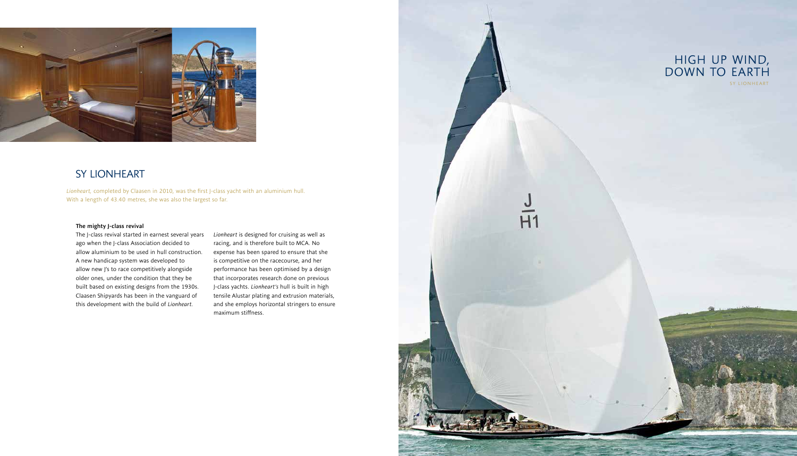### The mighty J-class revival

The J-class revival started in earnest several years ago when the J-class Association decided to allow aluminium to be used in hull construction. A new handicap system was developed to allow new J's to race competitively alongside older ones, under the condition that they be built based on existing designs from the 1930s. Claasen Shipyards has been in the vanguard of this development with the build of *Lionheart*.

*Lionheart* is designed for cruising as well as racing, and is therefore built to MCA. No expense has been spared to ensure that she is competitive on the racecourse, and her performance has been optimised by a design that incorporates research done on previous J-class yachts. *Lionheart's* hull is built in high tensile Alustar plating and extrusion materials, and she employs horizontal stringers to ensure maximum stiffness.





# SY LIONHEART

*Lionheart,* completed by Claasen in 2010, was the first J-class yacht with an aluminium hull. With a length of 43.40 metres, she was also the largest so far.

### HIGH UP WIND, DOWN TO EARTH SY LIONHEART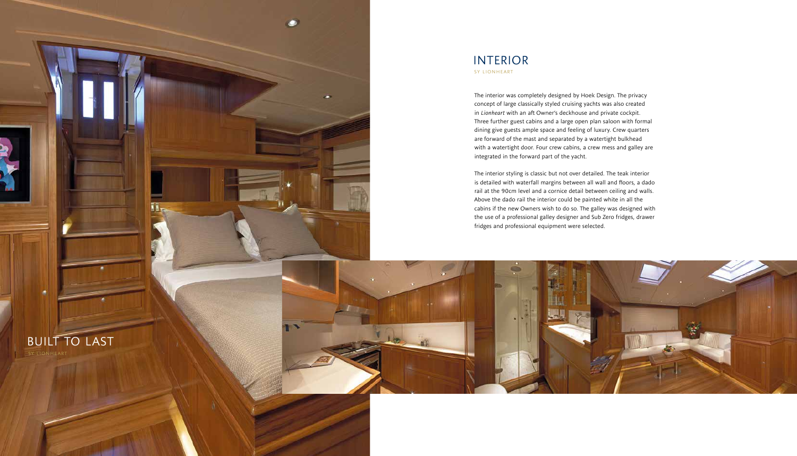## INTERIOR SY LIONHEART

The interior was completely designed by Hoek Design. The privacy concept of large classically styled cruising yachts was also created in *Lionheart* with an aft Owner's deckhouse and private cockpit. Three further guest cabins and a large open plan saloon with formal dining give guests ample space and feeling of luxury. Crew quarters are forward of the mast and separated by a watertight bulkhead with a watertight door. Four crew cabins, a crew mess and galley are integrated in the forward part of the yacht.

The interior styling is classic but not over detailed. The teak interior is detailed with waterfall margins between all wall and floors, a dado rail at the 90cm level and a cornice detail between ceiling and walls. Above the dado rail the interior could be painted white in all the cabins if the new Owners wish to do so. The galley was designed with the use of a professional galley designer and Sub Zero fridges, drawer fridges and professional equipment were selected.



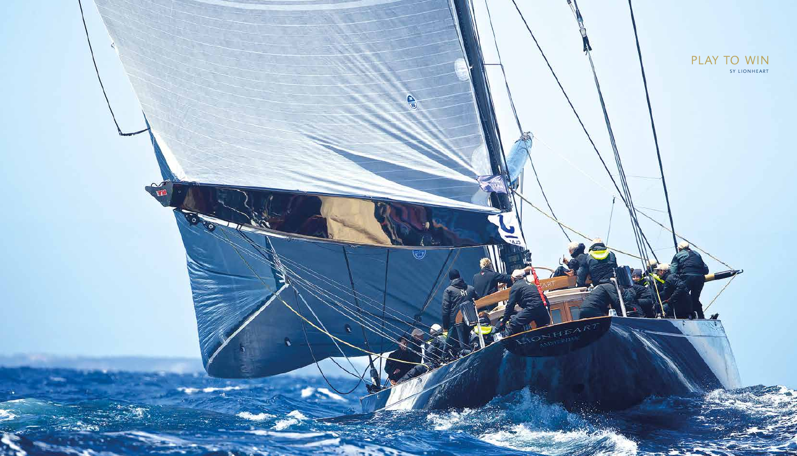

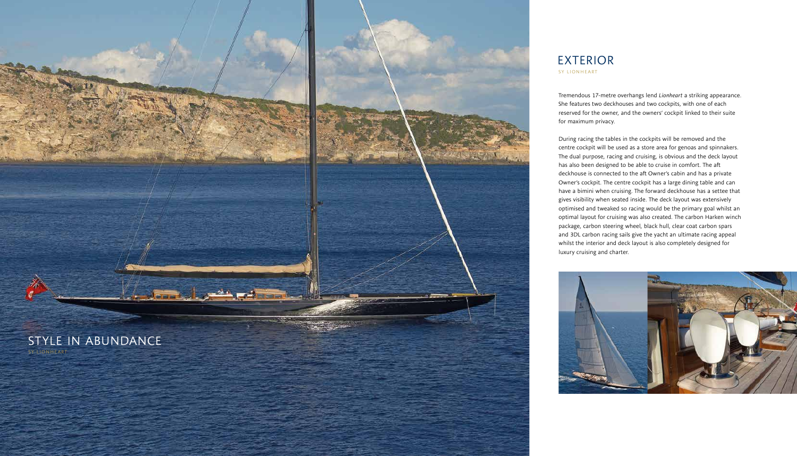# EXTERIOR SY LIONHEART

Tremendous 17-metre overhangs lend *Lionheart* a striking appearance. She features two deckhouses and two cockpits, with one of each reserved for the owner, and the owners' cockpit linked to their suite for maximum privacy.

During racing the tables in the cockpits will be removed and the centre cockpit will be used as a store area for genoas and spinnakers. The dual purpose, racing and cruising, is obvious and the deck layout has also been designed to be able to cruise in comfort. The aft deckhouse is connected to the aft Owner's cabin and has a private Owner's cockpit. The centre cockpit has a large dining table and can have a bimini when cruising. The forward deckhouse has a settee that gives visibility when seated inside. The deck layout was extensively optimised and tweaked so racing would be the primary goal whilst an optimal layout for cruising was also created. The carbon Harken winch package, carbon steering wheel, black hull, clear coat carbon spars and 3DL carbon racing sails give the yacht an ultimate racing appeal whilst the interior and deck layout is also completely designed for luxury cruising and charter.



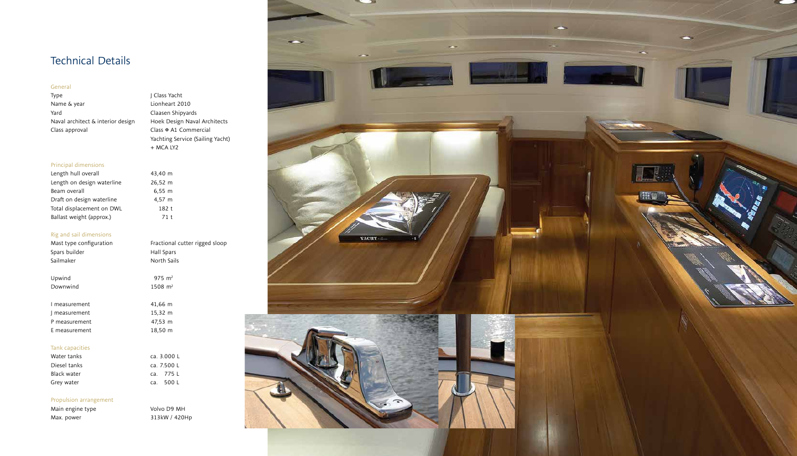#### General

Type J Class Yacht Name & year and the Lionheart 2010 Yard<br>Naval architect & interior design Block Design Naval Architects Naval architect & interior design Class approval Class  $\Phi$  A1 Commercial

Yachting Service (Sailing Yacht) + MCA LY2

### Principal dimensions

| 43,40 m |  |
|---------|--|
| 26,52 m |  |
| 6,55 m  |  |
| 4,57 m  |  |
| 182 t   |  |
| 71 t    |  |
|         |  |

| Fractional cutter rigged sloop |
|--------------------------------|
| Hall Spars                     |
| North Sails                    |
|                                |

 $975 \, \text{m}^2$  $1508$  m<sup>2</sup>

| 11,66 m |  |
|---------|--|
| 15,32 m |  |
| 47,53 m |  |
| 18,50 m |  |
|         |  |

| Length hull overall        | 43,40 m |
|----------------------------|---------|
| Length on design waterline | 26,52 m |
| Beam overall               | 6,55 m  |
| Draft on design waterline  | 4,57 m  |
| Total displacement on DWL  | 182 t   |
| Ballast weight (approx.)   | 71 t    |
|                            |         |

Main engine type Volvo D9 MH Max. power 313kW / 420Hp

### Rig and sail dimensions

| Mast type configuration<br>Spars builder<br>Sailmaker | Fractional<br>Hall Spars<br>North Sails |
|-------------------------------------------------------|-----------------------------------------|
|                                                       |                                         |
| Upwind                                                | $975 \text{ m}^2$                       |
| Downwind                                              | $1508 \; \text{m}^2$                    |
|                                                       |                                         |
| I measurement                                         | 41,66 m                                 |
| measurement                                           | 15,32 m                                 |
| P measurement                                         | 47,53 m                                 |
| E measurement                                         | 18,50 m                                 |

### Tank capacities





w.



-

| Water tanks  | ca. 3.000 L |
|--------------|-------------|
| Diesel tanks | ca. 7.500 L |
| Black water  | ca. 775 L   |
| Grey water   | ca. 500 L   |

### Propulsion arrangement

# Technical Details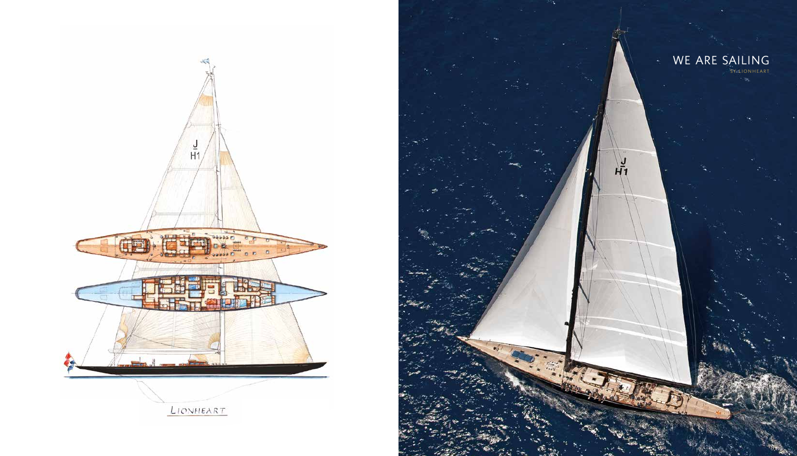





 $H_1$ 

SY LIONHEART